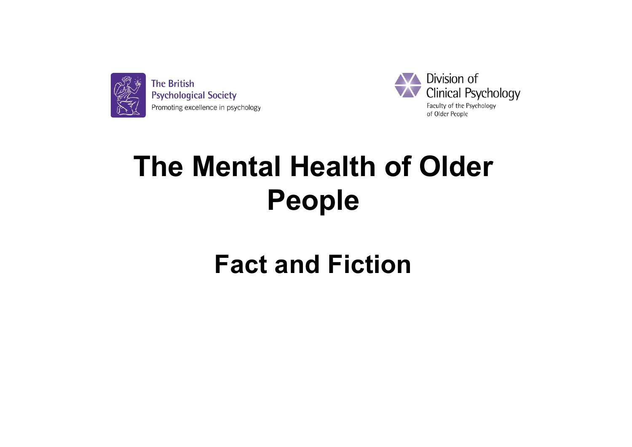



# **The Mental Health of Older People**

# **Fact and Fiction**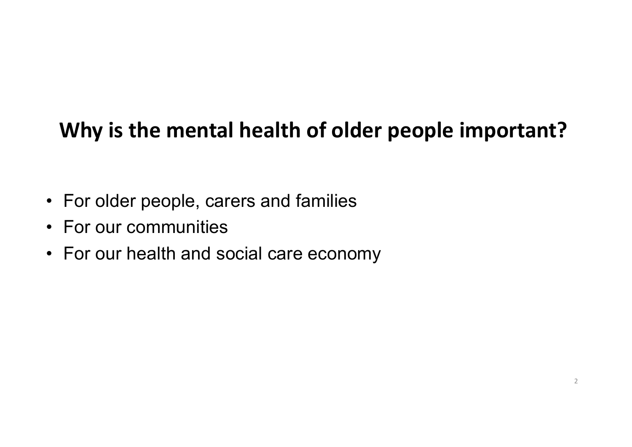# **Why is the mental health of older people important?**

- For older people, carers and families
- For our communities
- For our health and social care economy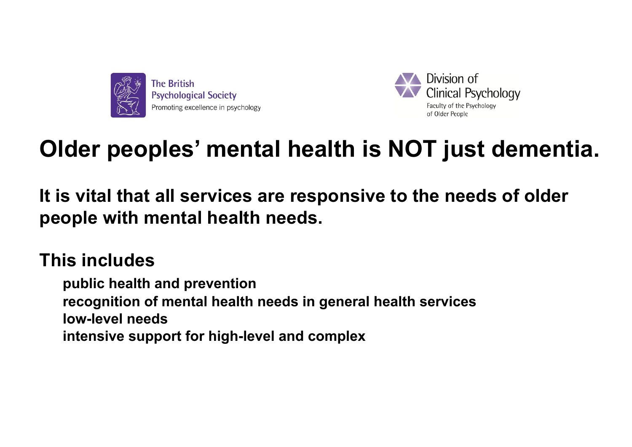



# **Older peoples' mental health is NOT just dementia.**

**It is vital that all services are responsive to the needs of older people with mental health needs.** 

## **This includes**

**public health and prevention recognition of mental health needs in general health services low-level needs** intensive support for high-level and complex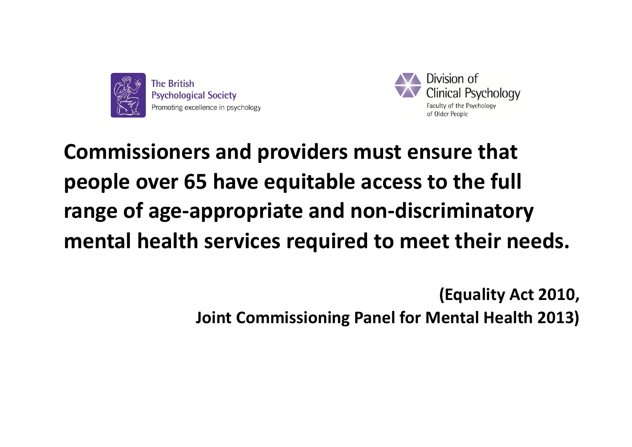



**Commissioners and providers must ensure that people over 65 have equitable access to the full range of age-appropriate and non-discriminatory mental health services required to meet their needs.** 

> **(Equality Act 2010, Joint Commissioning Panel for Mental Health 2013)**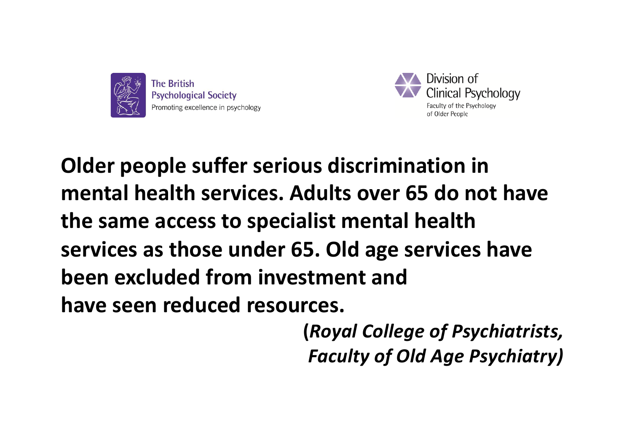



**Older people suffer serious discrimination in mental health services. Adults over 65 do not have the same access to specialist mental health services as those under 65. Old age services have been excluded from investment and have seen reduced resources.**

> **(***Royal College of Psychiatrists, Faculty of Old Age Psychiatry)*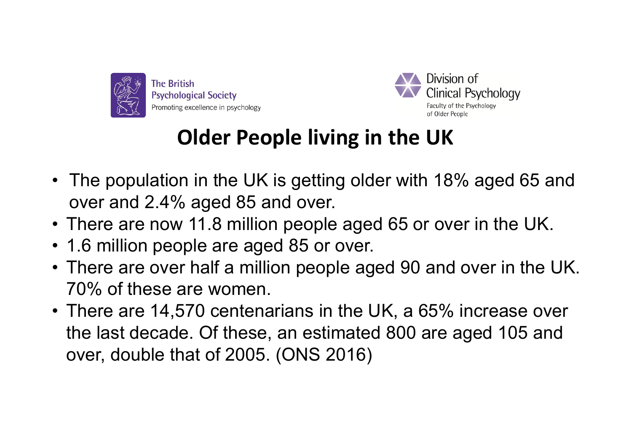



# **Older People living in the UK**

- The population in the UK is getting older with 18% aged 65 and over and 2.4% aged 85 and over.
- There are now 11.8 million people aged 65 or over in the UK.
- 1.6 million people are aged 85 or over.
- There are over half a million people aged 90 and over in the UK. 70% of these are women.
- There are 14,570 centenarians in the UK, a 65% increase over the last decade. Of these, an estimated 800 are aged 105 and over, double that of 2005. (ONS 2016)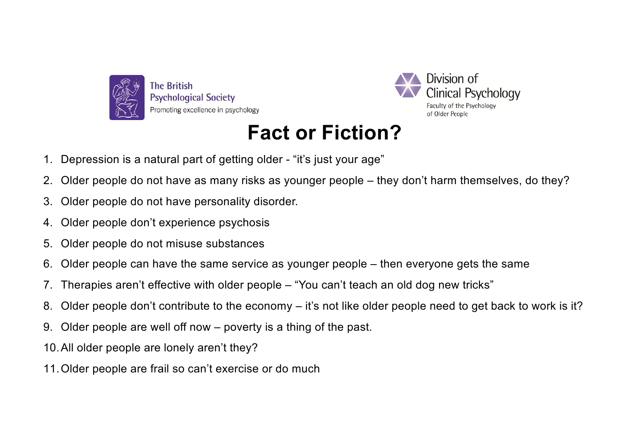



## **Fact or Fiction?**

- 1. Depression is a natural part of getting older "it's just your age"
- 2. Older people do not have as many risks as younger people they don't harm themselves, do they?
- 3. Older people do not have personality disorder.
- 4. Older people don't experience psychosis
- 5. Older people do not misuse substances
- 6. Older people can have the same service as younger people then everyone gets the same
- 7. Therapies aren't effective with older people "You can't teach an old dog new tricks"
- 8. Older people don't contribute to the economy it's not like older people need to get back to work is it?
- 9. Older people are well off now poverty is a thing of the past.
- 10.All older people are lonely aren't they?
- 11.Older people are frail so can't exercise or do much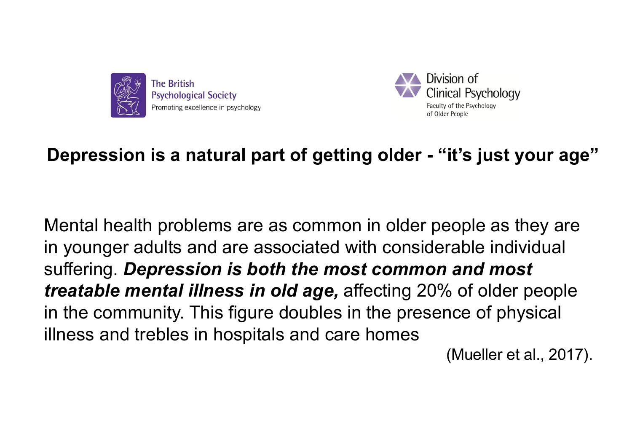



## **Depression is a natural part of getting older - "it's just your age"**

Mental health problems are as common in older people as they are in younger adults and are associated with considerable individual suffering. *Depression is both the most common and most treatable mental illness in old age,* affecting 20% of older people in the community. This figure doubles in the presence of physical illness and trebles in hospitals and care homes

(Mueller et al., 2017).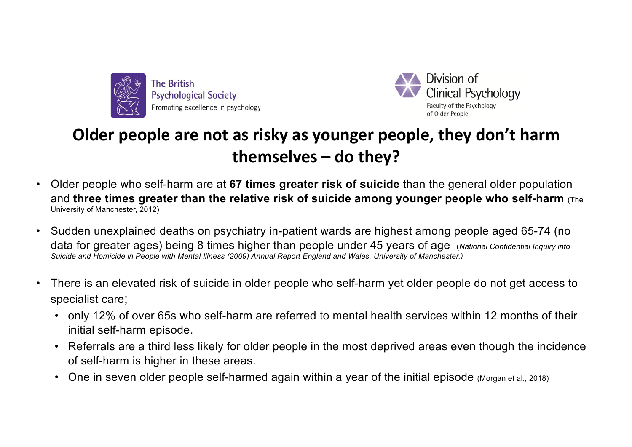



### **Older people are not as risky as younger people, they don't harm themselves – do they?**

- Older people who self-harm are at **67 times greater risk of suicide** than the general older population and **three times greater than the relative risk of suicide among younger people who self-harm** (The University of Manchester, 2012)
- Sudden unexplained deaths on psychiatry in-patient wards are highest among people aged 65-74 (no data for greater ages) being 8 times higher than people under 45 years of age (*National Confidential Inquiry into Suicide and Homicide in People with Mental Illness (2009) Annual Report England and Wales. University of Manchester.)*
- There is an elevated risk of suicide in older people who self-harm yet older people do not get access to specialist care;
	- only 12% of over 65s who self-harm are referred to mental health services within 12 months of their initial self-harm episode.
	- Referrals are a third less likely for older people in the most deprived areas even though the incidence of self-harm is higher in these areas.
	- One in seven older people self-harmed again within a year of the initial episode (Morgan et al., 2018)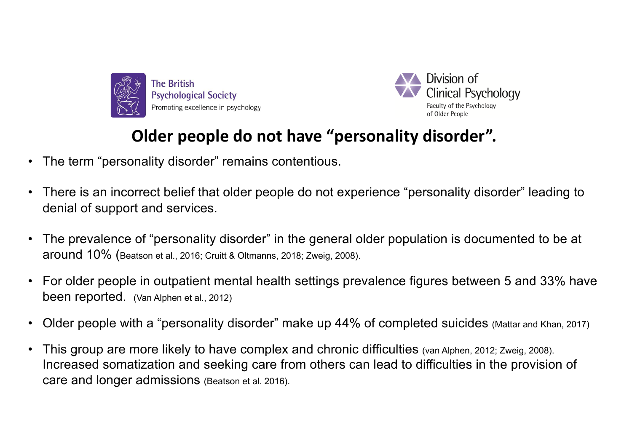



#### **Older people do not have "personality disorder".**

- The term "personality disorder" remains contentious.
- There is an incorrect belief that older people do not experience "personality disorder" leading to denial of support and services.
- The prevalence of "personality disorder" in the general older population is documented to be at around 10% (Beatson et al., 2016; Cruitt & Oltmanns, 2018; Zweig, 2008).
- For older people in outpatient mental health settings prevalence figures between 5 and 33% have been reported. (Van Alphen et al., 2012)
- Older people with a "personality disorder" make up 44% of completed suicides (Mattar and Khan, 2017)
- This group are more likely to have complex and chronic difficulties (van Alphen, 2012; Zweig, 2008). Increased somatization and seeking care from others can lead to difficulties in the provision of care and longer admissions (Beatson et al. 2016).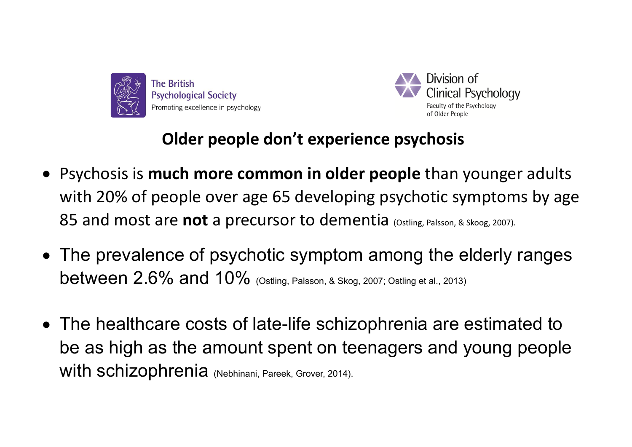



#### **Older people don't experience psychosis**

- Psychosis is **much more common in older people** than younger adults with 20% of people over age 65 developing psychotic symptoms by age 85 and most are **not** a precursor to dementia (Ostling, Palsson, & Skoog, 2007).
- The prevalence of psychotic symptom among the elderly ranges **between 2.6% and 10%** (Ostling, Palsson, & Skog, 2007; Ostling et al., 2013)
- The healthcare costs of late-life schizophrenia are estimated to be as high as the amount spent on teenagers and young people with schizophrenia (Nebhinani, Pareek, Grover, 2014).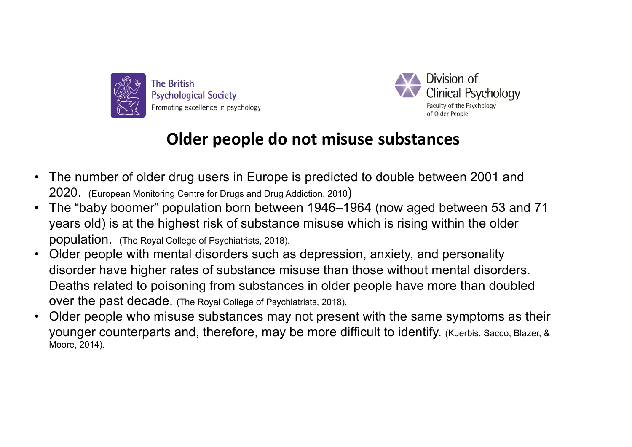



#### **Older people do not misuse substances**

- The number of older drug users in Europe is predicted to double between 2001 and 2020. (European Monitoring Centre for Drugs and Drug Addiction, 2010)
- The "baby boomer" population born between 1946–1964 (now aged between 53 and 71 years old) is at the highest risk of substance misuse which is rising within the older population. (The Royal College of Psychiatrists, 2018).
- Older people with mental disorders such as depression, anxiety, and personality disorder have higher rates of substance misuse than those without mental disorders. Deaths related to poisoning from substances in older people have more than doubled over the past decade. (The Royal College of Psychiatrists, 2018).
- Older people who misuse substances may not present with the same symptoms as their younger counterparts and, therefore, may be more difficult to identify. (Kuerbis, Sacco, Blazer, & Moore, 2014).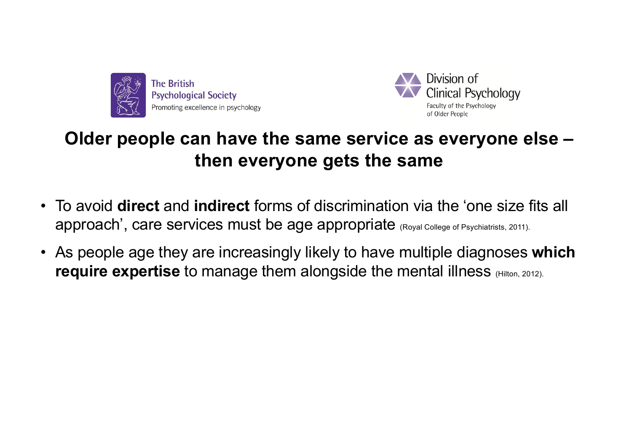



## **Older people can have the same service as everyone else – then everyone gets the same**

- To avoid **direct** and **indirect** forms of discrimination via the 'one size fits all approach', care services must be age appropriate (Royal College of Psychiatrists, 2011).
- As people age they are increasingly likely to have multiple diagnoses **which require expertise** to manage them alongside the mental illness (Hilton, 2012).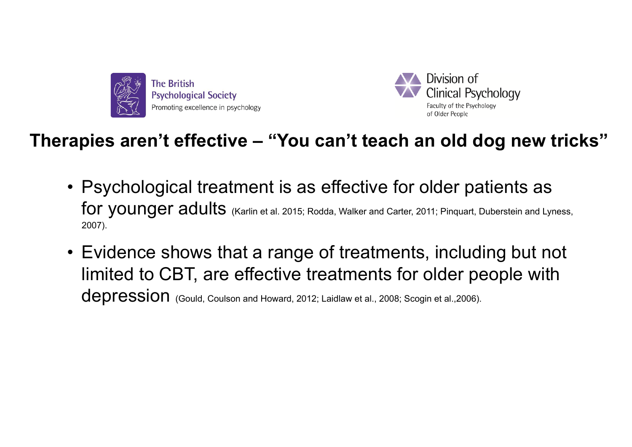



### **Therapies aren't effective – "You can't teach an old dog new tricks"**

- Psychological treatment is as effective for older patients as for younger adults (Karlin et al. 2015; Rodda, Walker and Carter, 2011; Pinquart, Duberstein and Lyness, 2007).
- Evidence shows that a range of treatments, including but not limited to CBT, are effective treatments for older people with depression (Gould, Coulson and Howard, 2012; Laidlaw et al., 2008; Scogin et al., 2006).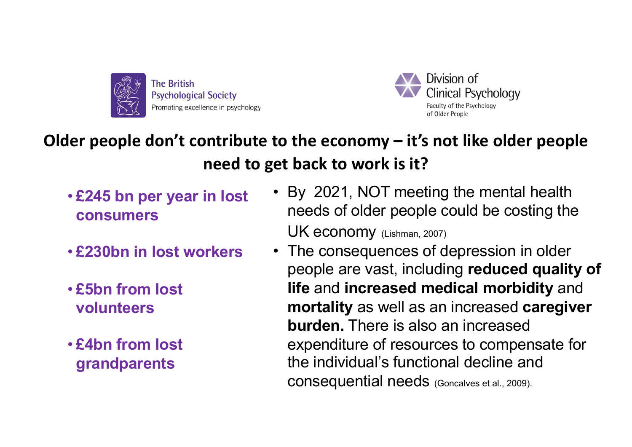



## **Older people don't contribute to the economy – it's not like older people need to get back to work is it?**

- **£245 bn per year in lost consumers**
- **£230bn in lost workers**
- **£5bn from lost volunteers**
- **£4bn from lost grandparents**
- By 2021, NOT meeting the mental health needs of older people could be costing the UK economy (Lishman, 2007)
- The consequences of depression in older people are vast, including **reduced quality of life** and **increased medical morbidity** and **mortality** as well as an increased **caregiver burden.** There is also an increased expenditure of resources to compensate for the individual's functional decline and consequential needs (Goncalves et al., 2009).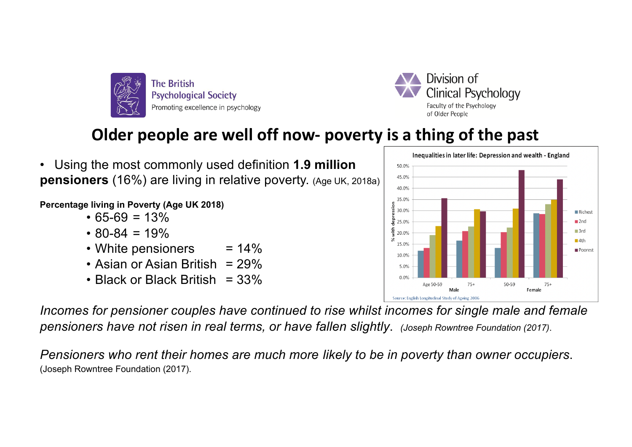

Division of Clinical Psychology Faculty of the Psychology of Older People

## **Older people are well off now- poverty is a thing of the past**

• Using the most commonly used definition **1.9 million pensioners** (16%) are living in relative poverty. (Age UK, 2018a)

**Percentage living in Poverty (Age UK 2018)**

- $65-69 = 13%$
- $\cdot$  80-84 = 19%
- White pensioners  $= 14\%$
- Asian or Asian British  $= 29\%$
- Black or Black British =  $33\%$

*Incomes for pensioner couples have continued to rise whilst incomes for single male and female pensioners have not risen in real terms, or have fallen slightly*. *(Joseph Rowntree Foundation (2017)*.

*Pensioners who rent their homes are much more likely to be in poverty than owner occupiers*. (Joseph Rowntree Foundation (2017).

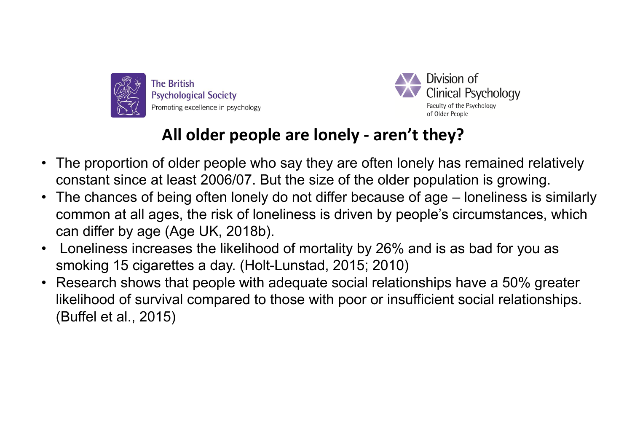



#### **All older people are lonely - aren't they?**

- The proportion of older people who say they are often lonely has remained relatively constant since at least 2006/07. But the size of the older population is growing.
- The chances of being often lonely do not differ because of age loneliness is similarly common at all ages, the risk of loneliness is driven by people's circumstances, which can differ by age (Age UK, 2018b).
- Loneliness increases the likelihood of mortality by 26% and is as bad for you as smoking 15 cigarettes a day. (Holt-Lunstad, 2015; 2010)
- Research shows that people with adequate social relationships have a 50% greater likelihood of survival compared to those with poor or insufficient social relationships. (Buffel et al., 2015)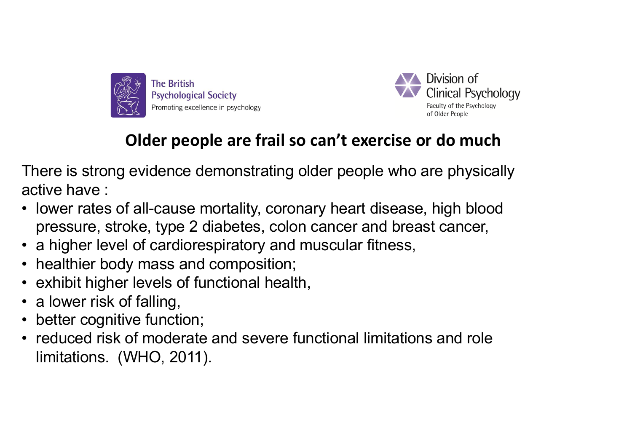



### **Older people are frail so can't exercise or do much**

There is strong evidence demonstrating older people who are physically active have :

- lower rates of all-cause mortality, coronary heart disease, high blood pressure, stroke, type 2 diabetes, colon cancer and breast cancer,
- a higher level of cardiorespiratory and muscular fitness,
- healthier body mass and composition;
- exhibit higher levels of functional health,
- a lower risk of falling,
- better cognitive function;
- reduced risk of moderate and severe functional limitations and role limitations. (WHO, 2011).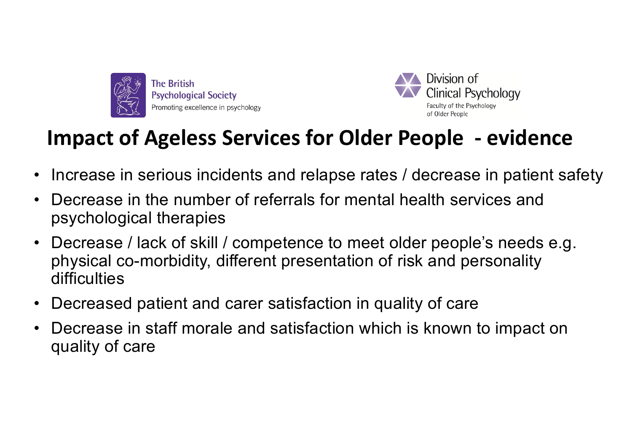



# **Impact of Ageless Services for Older People - evidence**

- Increase in serious incidents and relapse rates / decrease in patient safety
- Decrease in the number of referrals for mental health services and psychological therapies
- Decrease / lack of skill / competence to meet older people's needs e.g. physical co-morbidity, different presentation of risk and personality difficulties
- Decreased patient and carer satisfaction in quality of care
- Decrease in staff morale and satisfaction which is known to impact on quality of care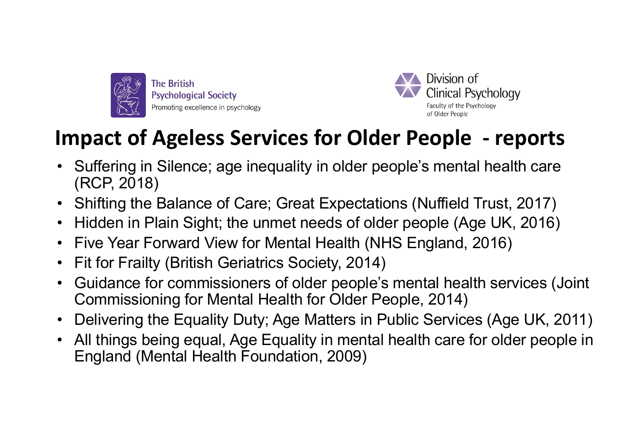



# **Impact of Ageless Services for Older People - reports**

- Suffering in Silence; age inequality in older people's mental health care (RCP, 2018)
- Shifting the Balance of Care; Great Expectations (Nuffield Trust, 2017)
- Hidden in Plain Sight; the unmet needs of older people (Age UK, 2016)
- Five Year Forward View for Mental Health (NHS England, 2016)
- Fit for Frailty (British Geriatrics Society, 2014)
- Guidance for commissioners of older people's mental health services (Joint Commissioning for Mental Health for Older People, 2014)
- Delivering the Equality Duty; Age Matters in Public Services (Age UK, 2011)
- All things being equal, Age Equality in mental health care for older people in England (Mental Health Foundation, 2009)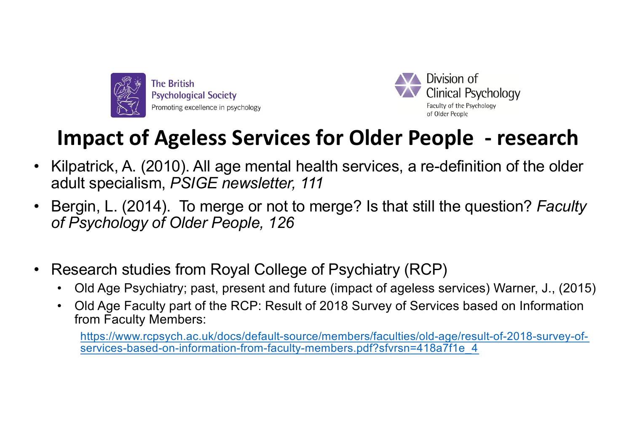



# **Impact of Ageless Services for Older People - research**

- Kilpatrick, A. (2010). All age mental health services, a re-definition of the older adult specialism, *PSIGE newsletter, 111*
- Bergin, L. (2014). To merge or not to merge? Is that still the question? *Faculty of Psychology of Older People, 126*
- Research studies from Royal College of Psychiatry (RCP)
	- Old Age Psychiatry; past, present and future (impact of ageless services) Warner, J., (2015)
	- Old Age Faculty part of the RCP: Result of 2018 Survey of Services based on Information from Faculty Members:

[https://www.rcpsych.ac.uk/docs/default-source/members/faculties/old-age/result-of-2018-survey-of](https://www.rcpsych.ac.uk/docs/default-source/members/faculties/old-age/result-of-2018-survey-of-services-based-on-information-from-faculty-members.pdf?sfvrsn=418a7f1e_4)services-based-on-information-from-faculty-members.pdf?sfvrsn=418a7f1e\_4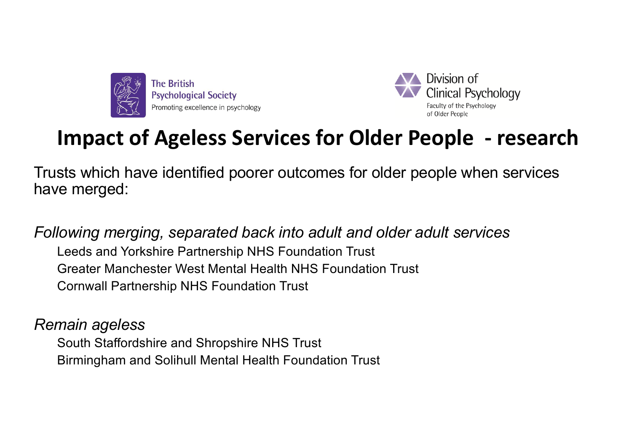



# **Impact of Ageless Services for Older People - research**

Trusts which have identified poorer outcomes for older people when services have merged:

*Following merging, separated back into adult and older adult services*  Leeds and Yorkshire Partnership NHS Foundation Trust Greater Manchester West Mental Health NHS Foundation Trust Cornwall Partnership NHS Foundation Trust

*Remain ageless* 

South Staffordshire and Shropshire NHS Trust Birmingham and Solihull Mental Health Foundation Trust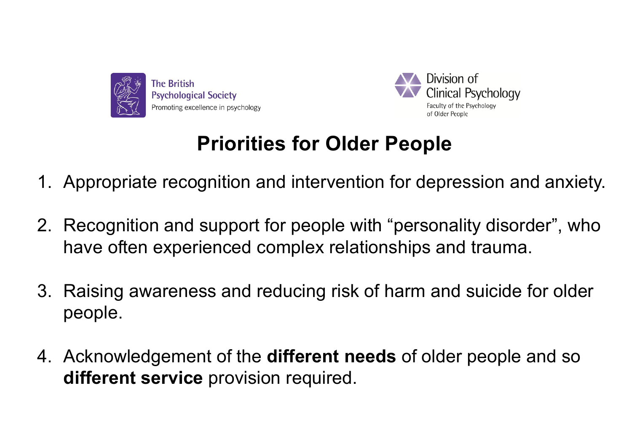



## **Priorities for Older People**

- 1. Appropriate recognition and intervention for depression and anxiety.
- 2. Recognition and support for people with "personality disorder", who have often experienced complex relationships and trauma.
- 3. Raising awareness and reducing risk of harm and suicide for older people.
- 4. Acknowledgement of the **different needs** of older people and so **different service** provision required.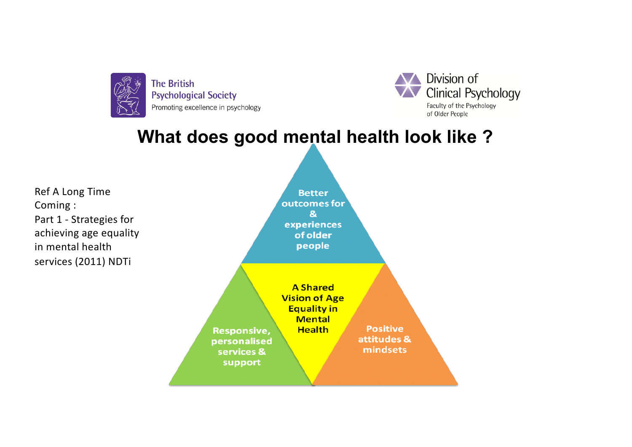

Division of **Clinical Psychology** Faculty of the Psychology of Older People

### **What does good mental health look like ?**

Ref A Long Time Coming : Part 1 - Strategies for achieving age equality in mental health services (2011) NDTi

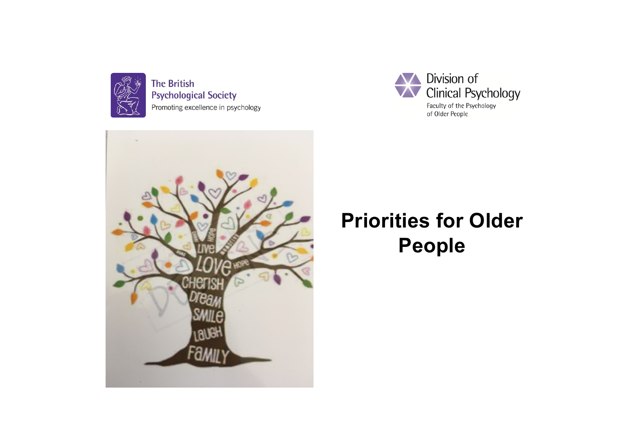

**The British Psychological Society** Promoting excellence in psychology





## **Priorities for Older People**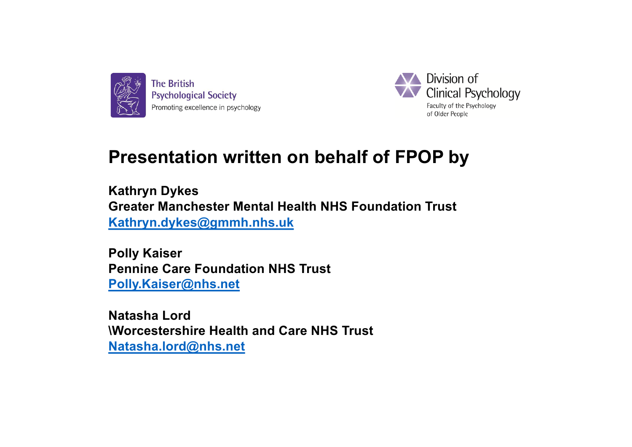



## **Presentation written on behalf of FPOP by**

**Kathryn Dykes Greater Manchester Mental Health NHS Foundation Trust [Kathryn.dykes@gmmh.nhs.uk](mailto:Kathryn.dykes@gmmh.nhs.uk)**

**Polly Kaiser Pennine Care Foundation NHS Trust [Polly.Kaiser@nhs.ne](mailto:Polly.Kaiser@nhs.net)t**

**Natasha Lord \Worcestershire Health and Care NHS Trust [Natasha.lord@nhs.ne](mailto:Natasha.lord@nhs.net)t**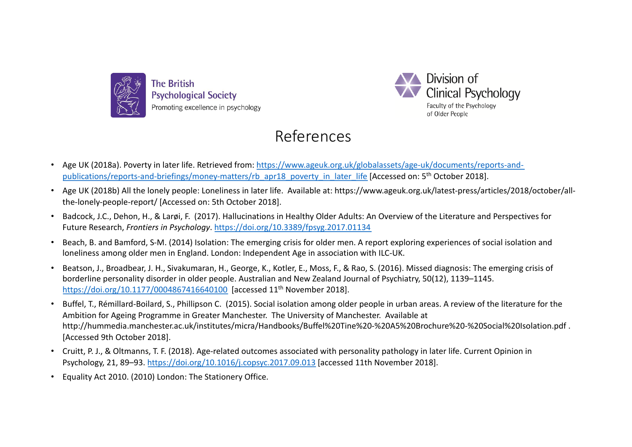



#### References

- [Age UK \(2018a\). Poverty in later life. Retrieved from: https://www.ageuk.org.uk/globalassets/age-uk/documents/reports-and](https://www.ageuk.org.uk/globalassets/age-uk/documents/reports-and-publications/reports-and-briefings/money-matters/rb_apr18_poverty_in_later_life)publications/reports-and-briefings/money-matters/rb\_apr18\_poverty\_in\_later\_life [Accessed on: 5<sup>th</sup> October 2018].
- Age UK (2018b) All the lonely people: Loneliness in later life. Available at: https://www.ageuk.org.uk/latest-press/articles/2018/october/allthe-lonely-people-report/ [Accessed on: 5th October 2018].
- Badcock, J.C., Dehon, H., & Larøi, F. (2017). Hallucinations in Healthy Older Adults: An Overview of the Literature and Perspectives for Future Research, *Frontiers in Psychology*[. https://doi.org/10.3389/fpsyg.2017.0113](https://doi.org/10.3389/fpsyg.2017.01134)4
- Beach, B. and Bamford, S-M. (2014) Isolation: The emerging crisis for older men. A report exploring experiences of social isolation and loneliness among older men in England. London: Independent Age in association with ILC-UK.
- Beatson, J., Broadbear, J. H., Sivakumaran, H., George, K., Kotler, E., Moss, F., & Rao, S. (2016). Missed diagnosis: The emerging crisis of borderline personality disorder in older people. Australian and New Zealand Journal of Psychiatry, 50(12), 1139–1145. [https://doi.org/10.1177/000486741664010](https://doi.org/10.1177/0004867416640100)0 [accessed 11<sup>th</sup> November 2018].
- Buffel, T., Rémillard-Boilard, S., Phillipson C. (2015). Social isolation among older people in urban areas. A review of the literature for the Ambition for Ageing Programme in Greater Manchester. The University of Manchester. Available at http://hummedia.manchester.ac.uk/institutes/micra/Handbooks/Buffel%20Tine%20-%20A5%20Brochure%20-%20Social%20Isolation.pdf . [Accessed 9th October 2018].
- Cruitt, P. J., & Oltmanns, T. F. (2018). Age-related outcomes associated with personality pathology in later life. Current Opinion in Psychology, 21, 89–9[3. https://doi.org/10.1016/j.copsyc.2017.09.01](https://doi.org/10.1016/j.copsyc.2017.09.013)3 [accessed 11th November 2018].
- Equality Act 2010. (2010) London: The Stationery Office.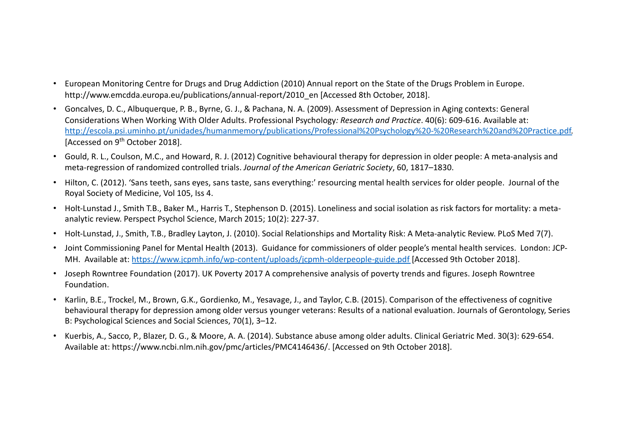- European Monitoring Centre for Drugs and Drug Addiction (2010) Annual report on the State of the Drugs Problem in Europe. http://www.emcdda.europa.eu/publications/annual-report/2010\_en [Accessed 8th October, 2018].
- Goncalves, D. C., Albuquerque, P. B., Byrne, G. J., & Pachana, N. A. (2009). Assessment of Depression in Aging contexts: General Considerations When Working With Older Adults. Professional Psychology*: Research and Practice*. 40(6): 609-616. Available at: [http://escola.psi.uminho.pt/unidades/humanmemory/publications/Professional%20Psychology%20-%20Research%20and%20Practice.pd](http://escola.psi.uminho.pt/unidades/humanmemory/publications/Professional%20Psychology%20-%20Research%20and%20Practice.pdf)f. [Accessed on 9<sup>th</sup> October 2018].
- Gould, R. L., Coulson, M.C., and Howard, R. J. (2012) Cognitive behavioural therapy for depression in older people: A meta-analysis and meta-regression of randomized controlled trials. *Journal of the American Geriatric Society*, 60, 1817–1830.
- Hilton, C. (2012). 'Sans teeth, sans eyes, sans taste, sans everything:' resourcing mental health services for older people. Journal of the Royal Society of Medicine, Vol 105, Iss 4.
- Holt-Lunstad J., Smith T.B., Baker M., Harris T., Stephenson D. (2015). Loneliness and social isolation as risk factors for mortality: a metaanalytic review. Perspect Psychol Science, March 2015; 10(2): 227-37.
- Holt-Lunstad, J., Smith, T.B., Bradley Layton, J. (2010). Social Relationships and Mortality Risk: A Meta-analytic Review. PLoS Med 7(7).
- Joint Commissioning Panel for Mental Health (2013). Guidance for commissioners of older people's mental health services. London: JCP-MH. Available a[t: https://www.jcpmh.info/wp-content/uploads/jcpmh-olderpeople-guide.pd](https://www.jcpmh.info/wp-content/uploads/jcpmh-olderpeople-guide.pdf)f [Accessed 9th October 2018].
- Joseph Rowntree Foundation (2017). UK Poverty 2017 A comprehensive analysis of poverty trends and figures. Joseph Rowntree Foundation.
- Karlin, B.E., Trockel, M., Brown, G.K., Gordienko, M., Yesavage, J., and Taylor, C.B. (2015). Comparison of the effectiveness of cognitive behavioural therapy for depression among older versus younger veterans: Results of a national evaluation. Journals of Gerontology, Series B: Psychological Sciences and Social Sciences, 70(1), 3–12.
- Kuerbis, A., Sacco, P., Blazer, D. G., & Moore, A. A. (2014). Substance abuse among older adults. Clinical Geriatric Med. 30(3): 629-654. Available at: https://www.ncbi.nlm.nih.gov/pmc/articles/PMC4146436/. [Accessed on 9th October 2018].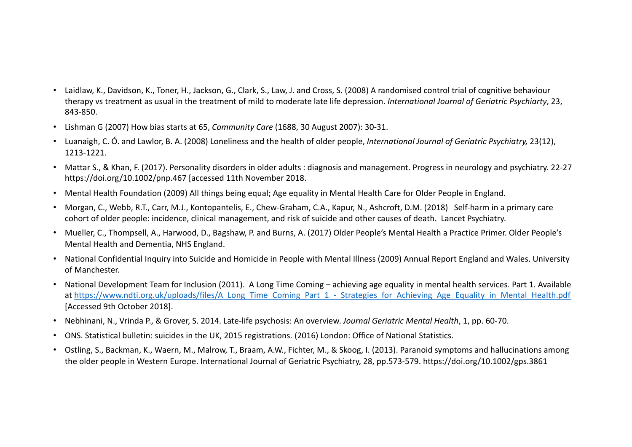- Laidlaw, K., Davidson, K., Toner, H., Jackson, G., Clark, S., Law, J. and Cross, S. (2008) A randomised control trial of cognitive behaviour therapy vs treatment as usual in the treatment of mild to moderate late life depression. *International Journal of Geriatric Psychiarty*, 23, 843-850.
- Lishman G (2007) How bias starts at 65, *Community Care* (1688, 30 August 2007): 30-31.
- Luanaigh, C. Ó. and Lawlor, B. A. (2008) Loneliness and the health of older people, *International Journal of Geriatric Psychiatry,* 23(12), 1213-1221.
- Mattar S., & Khan, F. (2017). Personality disorders in older adults : diagnosis and management. Progress in neurology and psychiatry. 22-27 https://doi.org/10.1002/pnp.467 [accessed 11th November 2018.
- Mental Health Foundation (2009) All things being equal; Age equality in Mental Health Care for Older People in England.
- Morgan, C., Webb, R.T., Carr, M.J., Kontopantelis, E., Chew-Graham, C.A., Kapur, N., Ashcroft, D.M. (2018) Self-harm in a primary care cohort of older people: incidence, clinical management, and risk of suicide and other causes of death. Lancet Psychiatry.
- Mueller, C., Thompsell, A., Harwood, D., Bagshaw, P. and Burns, A. (2017) Older People's Mental Health a Practice Primer. Older People's Mental Health and Dementia, NHS England.
- National Confidential Inquiry into Suicide and Homicide in People with Mental Illness (2009) Annual Report England and Wales. University of Manchester.
- National Development Team for Inclusion (2011). A Long Time Coming achieving age equality in mental health services. Part 1. Available at https://www.ndti.org.uk/uploads/files/A\_Long\_Time\_Coming\_Part\_1 - Strategies\_for\_Achieving\_Age\_Equality\_in\_Mental\_Health.pdf [Accessed 9th October 2018].
- Nebhinani, N., Vrinda P., & Grover, S. 2014. Late-life psychosis: An overview. *Journal Geriatric Mental Health*, 1, pp. 60-70.
- ONS. Statistical bulletin: suicides in the UK, 2015 registrations. (2016) London: Office of National Statistics.
- Ostling, S., Backman, K., Waern, M., Malrow, T., Braam, A.W., Fichter, M., & Skoog, I. (2013). Paranoid symptoms and hallucinations among the older people in Western Europe. International Journal of Geriatric Psychiatry, 28, pp.573-579. https://doi.org/10.1002/gps.3861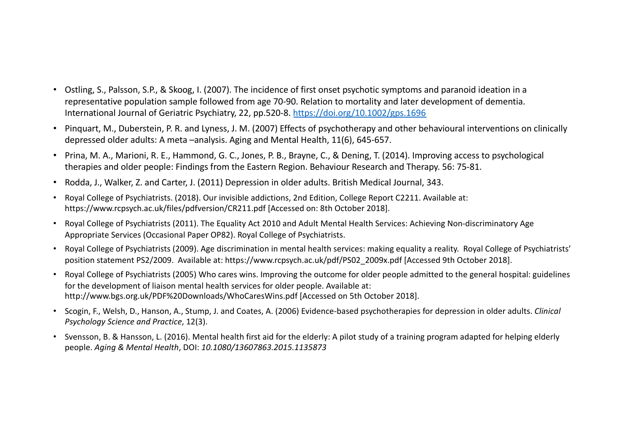- Ostling, S., Palsson, S.P., & Skoog, I. (2007). The incidence of first onset psychotic symptoms and paranoid ideation in a representative population sample followed from age 70-90. Relation to mortality and later development of dementia. International Journal of Geriatric Psychiatry, 22, pp.520-[8. https://doi.org/10.1002/gps.169](https://doi.org/10.1002/gps.1696)6
- Pinquart, M., Duberstein, P. R. and Lyness, J. M. (2007) Effects of psychotherapy and other behavioural interventions on clinically depressed older adults: A meta –analysis. Aging and Mental Health, 11(6), 645-657.
- Prina, M. A., Marioni, R. E., Hammond, G. C., Jones, P. B., Brayne, C., & Dening, T. (2014). Improving access to psychological therapies and older people: Findings from the Eastern Region. Behaviour Research and Therapy. 56: 75-81.
- Rodda, J., Walker, Z. and Carter, J. (2011) Depression in older adults. British Medical Journal, 343.
- Royal College of Psychiatrists. (2018). Our invisible addictions, 2nd Edition, College Report C2211. Available at: https://www.rcpsych.ac.uk/files/pdfversion/CR211.pdf [Accessed on: 8th October 2018].
- Royal College of Psychiatrists (2011). The Equality Act 2010 and Adult Mental Health Services: Achieving Non-discriminatory Age Appropriate Services (Occasional Paper OP82). Royal College of Psychiatrists.
- Royal College of Psychiatrists (2009). Age discrimination in mental health services: making equality a reality. Royal College of Psychiatrists' position statement PS2/2009. Available at: https://www.rcpsych.ac.uk/pdf/PS02\_2009x.pdf [Accessed 9th October 2018].
- Royal College of Psychiatrists (2005) Who cares wins. Improving the outcome for older people admitted to the general hospital: guidelines for the development of liaison mental health services for older people. Available at: http://www.bgs.org.uk/PDF%20Downloads/WhoCaresWins.pdf [Accessed on 5th October 2018].
- Scogin, F., Welsh, D., Hanson, A., Stump, J. and Coates, A. (2006) Evidence-based psychotherapies for depression in older adults. *Clinical Psychology Science and Practice*, 12(3).
- Svensson, B. & Hansson, L. (2016). Mental health first aid for the elderly: A pilot study of a training program adapted for helping elderly people. *Aging & Mental Health*, DOI: *10.1080/13607863.2015.1135873*